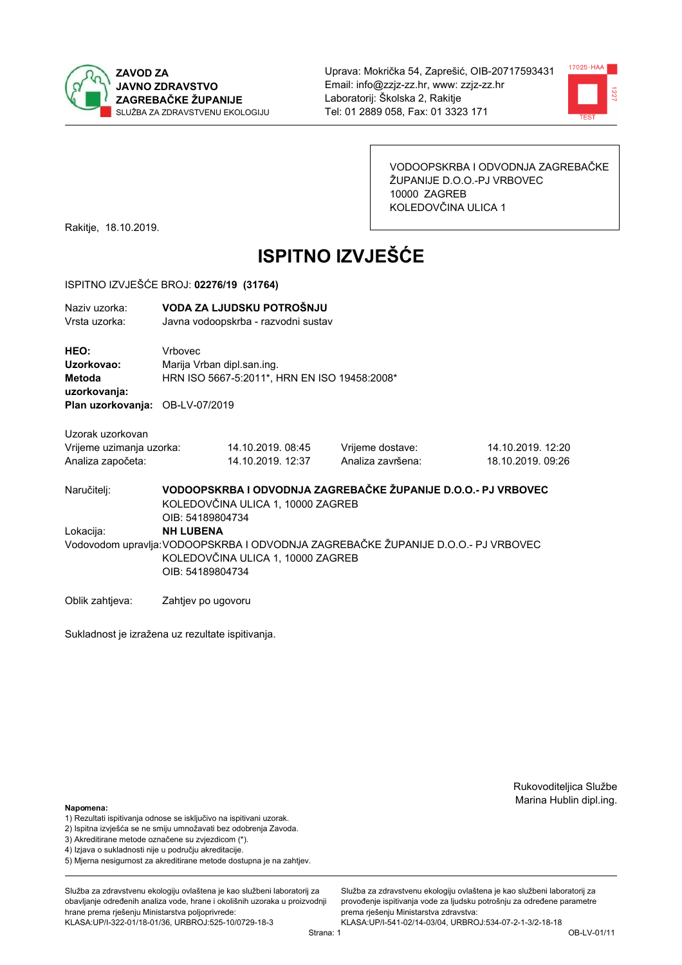

Uprava: Mokrička 54, Zaprešić, OIB-20717593431 Email: info@zzjz-zz.hr, www: zzjz-zz.hr Laboratorij: Školska 2, Rakitje Tel: 01 2889 058. Fax: 01 3323 171



VODOOPSKRBA I ODVODNJA ZAGREBAČKE ŽUPANIJE D.O.O.-PJ VRBOVEC 10000 ZAGREB KOLEDOVČINA ULICA 1

Rakitje, 18.10.2019.

# **ISPITNO IZVJEŠĆE**

### ISPITNO IZVJEŠĆE BROJ: 02276/19 (31764)

| Naziv uzorka:<br>Vrsta uzorka:                                    | VODA ZA LJUDSKU POTROŠNJU<br>Javna vodoopskrba - razvodni sustav                                                                           |                                                                            |                                                               |                                        |  |  |
|-------------------------------------------------------------------|--------------------------------------------------------------------------------------------------------------------------------------------|----------------------------------------------------------------------------|---------------------------------------------------------------|----------------------------------------|--|--|
| <b>HEO:</b><br>Uzorkovao:<br>Metoda<br>uzorkovanja:               | Vrbovec                                                                                                                                    | Marija Vrban dipl.san.ing.<br>HRN ISO 5667-5:2011*, HRN EN ISO 19458:2008* |                                                               |                                        |  |  |
| <b>Plan uzorkovanja: OB-LV-07/2019</b>                            |                                                                                                                                            |                                                                            |                                                               |                                        |  |  |
| Uzorak uzorkovan<br>Vrijeme uzimanja uzorka:<br>Analiza započeta: |                                                                                                                                            | 14.10.2019.08:45<br>14.10.2019. 12:37                                      | Vrijeme dostave:<br>Analiza završena:                         | 14.10.2019. 12:20<br>18.10.2019. 09:26 |  |  |
| Naručiteli:                                                       | OIB: 54189804734                                                                                                                           | KOLEDOVČINA ULICA 1, 10000 ZAGREB                                          | VODOOPSKRBA I ODVODNJA ZAGREBAČKE ŽUPANIJE D.O.O.- PJ VRBOVEC |                                        |  |  |
| Lokacija:                                                         | <b>NH LUBENA</b><br>Vodovodom upravlja: VODOOPSKRBA I ODVODNJA ZAGREBAČKE ŽUPANIJE D.O.O.- PJ VRBOVEC<br>KOLEDOVČINA ULICA 1, 10000 ZAGREB |                                                                            |                                                               |                                        |  |  |

OIB: 54189804734

Oblik zahtjeva: Zahtjev po ugovoru

Sukladnost je izražena uz rezultate ispitivanja.

Rukovoditeljica Službe Marina Hublin dipl.ing.

### Napomena:

- 1) Rezultati ispitivanja odnose se isključivo na ispitivani uzorak.
- 2) Ispitna izvješća se ne smiju umnožavati bez odobrenja Zavoda.
- 3) Akreditirane metode označene su zvjezdicom (\*).
- 4) Iziava o sukladnosti nije u području akreditacije.
- 5) Mjerna nesigurnost za akreditirane metode dostupna je na zahtjev.

Služba za zdravstvenu ekologiju ovlaštena je kao službeni laboratorij za obavlianie određenih analiza vode, hrane i okolišnih uzoraka u proizvodniji hrane prema rješenju Ministarstva poljoprivrede: KLASA:UP/I-322-01/18-01/36, URBROJ:525-10/0729-18-3

Služba za zdravstvenu ekologiju ovlaštena je kao službeni laboratorij za provođenie ispitivania vode za liudsku potrošniu za određene parametre prema rješenju Ministarstva zdravstva: KLASA:UP/I-541-02/14-03/04, URBROJ:534-07-2-1-3/2-18-18

Strana: 1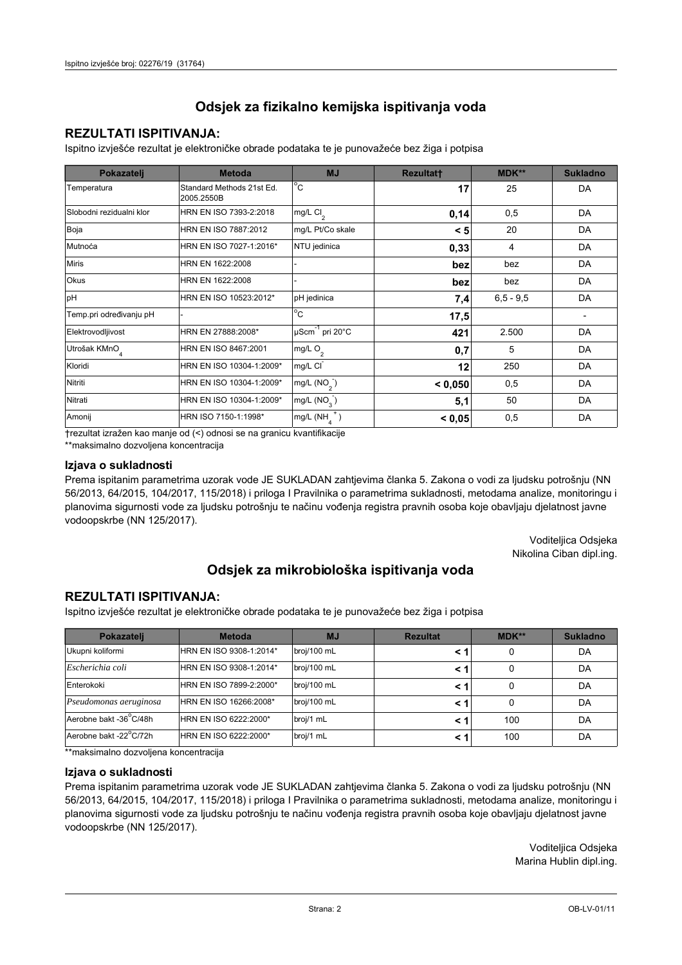# Odsjek za fizikalno kemijska ispitivanja voda

## **REZULTATI ISPITIVANJA:**

Ispitno izviešće rezultat je elektroničke obrade podataka te je punovažeće bez žiga i potpisa

| Pokazatelj                | <b>Metoda</b>                           | <b>MJ</b>               | <b>Rezultatt</b> | MDK**         | <b>Sukladno</b> |
|---------------------------|-----------------------------------------|-------------------------|------------------|---------------|-----------------|
| Temperatura               | Standard Methods 21st Ed.<br>2005.2550B | $^{\circ}$ C            | 17               | 25            | DA              |
| Slobodni rezidualni klor  | HRN EN ISO 7393-2:2018                  | mg/L $Cl2$              | 0,14             | 0,5           | DA              |
| Boja                      | HRN EN ISO 7887:2012                    | mg/L Pt/Co skale        | < 5              | 20            | DA              |
| Mutnoća                   | HRN EN ISO 7027-1:2016*                 | NTU jedinica            | 0,33             | 4             | DA              |
| <b>Miris</b>              | HRN EN 1622:2008                        |                         | bez              | bez           | DA              |
| Okus                      | HRN EN 1622:2008                        |                         | bez              | bez           | DA              |
| pH                        | HRN EN ISO 10523:2012*                  | pH jedinica             | 7,4              | $6, 5 - 9, 5$ | DA              |
| Temp.pri određivanju pH   |                                         | $^{\circ}$ C            | 17,5             |               |                 |
| Elektrovodljivost         | HRN EN 27888:2008*                      | µScm-1 pri 20°C         | 421              | 2.500         | DA              |
| Utrošak KMnO <sub>4</sub> | HRN EN ISO 8467:2001                    | mg/L $O2$               | 0,7              | 5             | DA              |
| Kloridi                   | HRN EN ISO 10304-1:2009*                | mg/L CI                 | 12               | 250           | DA              |
| Nitriti                   | HRN EN ISO 10304-1:2009*                | mg/L $(NO2)$            | < 0.050          | 0,5           | DA              |
| Nitrati                   | HRN EN ISO 10304-1:2009*                | mg/L (NO <sub>3</sub> ) | 5,1              | 50            | DA              |
| Amonij                    | HRN ISO 7150-1:1998*                    | mg/L (NH                | < 0,05           | 0,5           | DA              |

trezultat izražen kao manje od (<) odnosi se na granicu kvantifikacije

\*\*maksimalno dozvoljena koncentracija

## Izjava o sukladnosti

Prema ispitanim parametrima uzorak vode JE SUKLADAN zahtievima članka 5. Zakona o vodi za ljudsku potrošnju (NN 56/2013, 64/2015, 104/2017, 115/2018) i priloga I Pravilnika o parametrima sukladnosti, metodama analize, monitoringu i planovima sigurnosti vode za ljudsku potrošnju te načinu vođenja registra pravnih osoba koje obavljaju djelatnost javne vodoopskrbe (NN 125/2017).

> Voditeljica Odsjeka Nikolina Ciban dipl.ing.

## Odsjek za mikrobiološka ispitivanja voda

## **REZULTATI ISPITIVANJA:**

Ispitno izvješće rezultat je elektroničke obrade podataka te je punovažeće bez žiga i potpisa

| Pokazatelj             | <b>Metoda</b>           | <b>MJ</b>   | <b>Rezultat</b> | $MDK**$ | <b>Sukladno</b> |
|------------------------|-------------------------|-------------|-----------------|---------|-----------------|
| Ukupni koliformi       | HRN EN ISO 9308-1:2014* | broj/100 mL |                 | 0       | DA              |
| Escherichia coli       | HRN EN ISO 9308-1:2014* | broj/100 mL |                 | 0       | DA              |
| Enterokoki             | HRN EN ISO 7899-2:2000* | broj/100 mL |                 | 0       | DA              |
| Pseudomonas aeruginosa | HRN EN ISO 16266:2008*  | broj/100 mL | < 1             | 0       | DA              |
| Aerobne bakt -36 C/48h | HRN EN ISO 6222:2000*   | broj/1 mL   |                 | 100     | DA              |
| Aerobne bakt -22°C/72h | HRN EN ISO 6222:2000*   | broj/1 mL   |                 | 100     | DA              |

\*\*maksimalno dozvoljena koncentracija

## Izjava o sukladnosti

Prema ispitanim parametrima uzorak vode JE SUKLADAN zahtjevima članka 5. Zakona o vodi za ljudsku potrošnju (NN 56/2013, 64/2015, 104/2017, 115/2018) i priloga I Pravilnika o parametrima sukladnosti, metodama analize, monitoringu i planovima sigurnosti vode za ljudsku potrošnju te načinu vođenja registra pravnih osoba koje obavljaju djelatnost javne vodoopskrbe (NN 125/2017).

> Voditeljica Odsjeka Marina Hublin dipl.ing.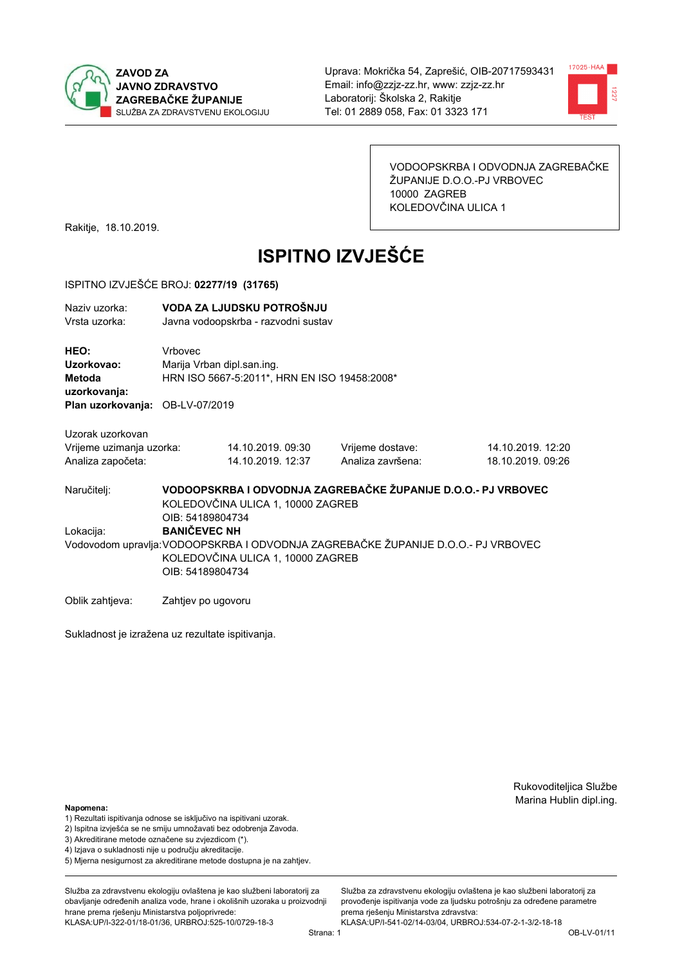

Uprava: Mokrička 54, Zaprešić, OIB-20717593431 Email: info@zzjz-zz.hr, www: zzjz-zz.hr Laboratorij: Školska 2, Rakitje Tel: 01 2889 058. Fax: 01 3323 171



VODOOPSKRBA I ODVODNJA ZAGREBAČKE ŽUPANIJE D.O.O.-PJ VRBOVEC 10000 ZAGREB KOLEDOVČINA ULICA 1

Rakitje, 18.10.2019.

# **ISPITNO IZVJEŠĆE**

#### ISPITNO IZVJEŠĆE BROJ: 02277/19 (31765)

| VODA ZA LJUDSKU POTROŠNJU<br>Javna vodoopskrba - razvodni sustav |                                        |                                                               |                                              |  |
|------------------------------------------------------------------|----------------------------------------|---------------------------------------------------------------|----------------------------------------------|--|
| Vrhovec                                                          |                                        |                                                               |                                              |  |
| Vrijeme uzimanja uzorka:                                         | 14.10.2019. 09:30<br>14.10.2019. 12:37 | Vrijeme dostave:<br>Analiza završena:                         | 14.10.2019. 12:20<br>18.10.2019. 09:26       |  |
|                                                                  |                                        | Marija Vrban dipl.san.ing.<br>Plan uzorkovanja: OB-LV-07/2019 | HRN ISO 5667-5:2011*, HRN EN ISO 19458:2008* |  |

VODOOPSKRBA I ODVODNJA ZAGREBAČKE ŽUPANIJE D.O.O.- PJ VRBOVEC Naručitelj: KOLEDOVČINA ULICA 1, 10000 ZAGREB OIB: 54189804734 Lokacija: **BANIČEVEC NH** Vodovodom upravlja: VODOOPSKRBA I ODVODNJA ZAGREBAČKE ŽUPANIJE D.O.O.- PJ VRBOVEC KOLEDOVČINA ULICA 1, 10000 ZAGREB OIB: 54189804734

Oblik zahtjeva: Zahtjev po ugovoru

Sukladnost je izražena uz rezultate ispitivanja.

Rukovoditeljica Službe Marina Hublin dipl.ing.

#### Napomena:

- 1) Rezultati ispitivanja odnose se isključivo na ispitivani uzorak.
- 2) Ispitna izvješća se ne smiju umnožavati bez odobrenja Zavoda.

3) Akreditirane metode označene su zvjezdicom (\*).

- 4) Iziava o sukladnosti nije u području akreditacije.
- 5) Mjerna nesigurnost za akreditirane metode dostupna je na zahtjev.

Služba za zdravstvenu ekologiju ovlaštena je kao službeni laboratorij za obavlianie određenih analiza vode, hrane i okolišnih uzoraka u proizvodniji hrane prema rješenju Ministarstva poljoprivrede: KLASA:UP/I-322-01/18-01/36, URBROJ:525-10/0729-18-3

Služba za zdravstvenu ekologiju ovlaštena je kao službeni laboratorij za provođenie ispitivania vode za liudsku potrošniu za određene parametre prema riešenju Ministarstva zdravstva: KLASA:UP/I-541-02/14-03/04, URBROJ:534-07-2-1-3/2-18-18

Strana: 1